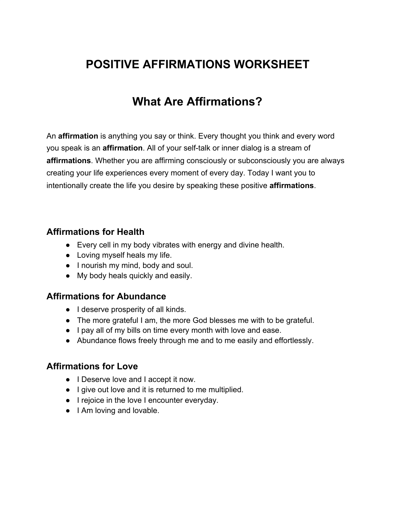# **POSITIVE AFFIRMATIONS WORKSHEET**

## **What Are Affirmations?**

An **affirmation** is anything you say or think. Every thought you think and every word you speak is an **affirmation**. All of your self-talk or inner dialog is a stream of **affirmations**. Whether you are affirming consciously or subconsciously you are always creating your life experiences every moment of every day. Today I want you to intentionally create the life you desire by speaking these positive **affirmations**.

#### **Affirmations for Health**

- Every cell in my body vibrates with energy and divine health.
- Loving myself heals my life.
- I nourish my mind, body and soul.
- My body heals quickly and easily.

#### **Affirmations for Abundance**

- I deserve prosperity of all kinds.
- The more grateful I am, the more God blesses me with to be grateful.
- I pay all of my bills on time every month with love and ease.
- Abundance flows freely through me and to me easily and effortlessly.

#### **Affirmations for Love**

- I Deserve love and I accept it now.
- I give out love and it is returned to me multiplied.
- I rejoice in the love I encounter everyday.
- I Am loving and lovable.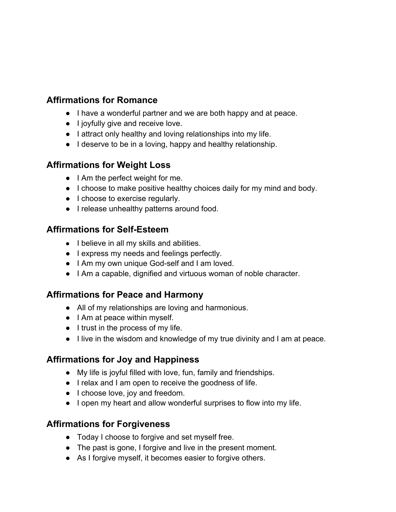## **Affirmations for Romance**

- I have a wonderful partner and we are both happy and at peace.
- I joyfully give and receive love.
- I attract only healthy and loving relationships into my life.
- I deserve to be in a loving, happy and healthy relationship.

#### **Affirmations for Weight Loss**

- I Am the perfect weight for me.
- I choose to make positive healthy choices daily for my mind and body.
- I choose to exercise regularly.
- I release unhealthy patterns around food.

#### **Affirmations for Self-Esteem**

- I believe in all my skills and abilities.
- I express my needs and feelings perfectly.
- I Am my own unique God-self and I am loved.
- I Am a capable, dignified and virtuous woman of noble character.

## **Affirmations for Peace and Harmony**

- All of my relationships are loving and harmonious.
- I Am at peace within myself.
- I trust in the process of my life.
- I live in the wisdom and knowledge of my true divinity and I am at peace.

## **Affirmations for Joy and Happiness**

- My life is joyful filled with love, fun, family and friendships.
- I relax and I am open to receive the goodness of life.
- I choose love, joy and freedom.
- I open my heart and allow wonderful surprises to flow into my life.

## **Affirmations for Forgiveness**

- Today I choose to forgive and set myself free.
- The past is gone, I forgive and live in the present moment.
- As I forgive myself, it becomes easier to forgive others.